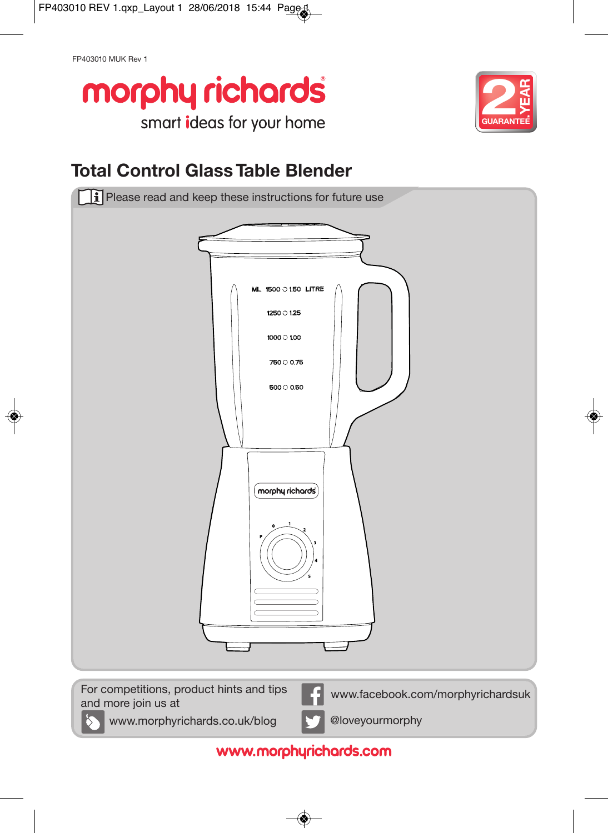FP403010 MUK Rev 1





# **Total Control Glass Table Blender**



www.morphyrichards.com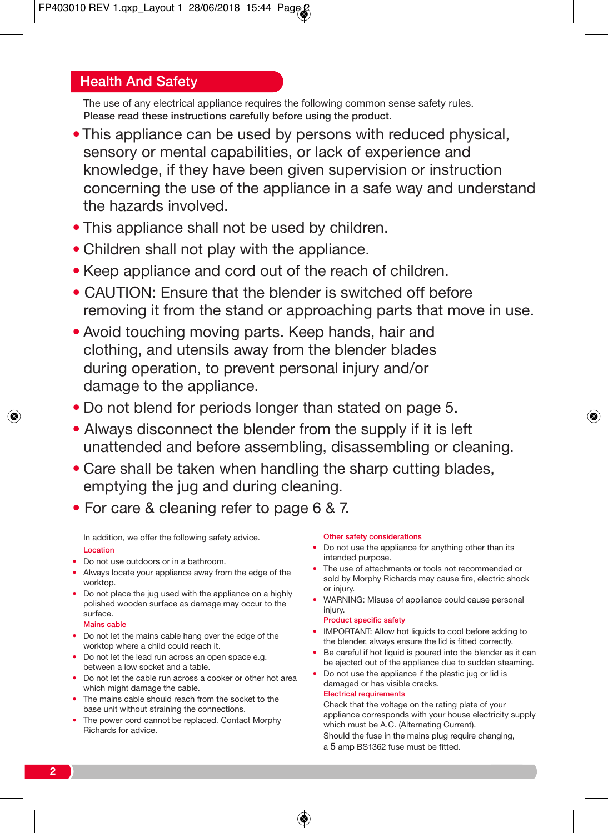## Health And Safety

The use of any electrical appliance requires the following common sense safety rules. Please read these instructions carefully before using the product.

- This appliance can be used by persons with reduced physical, sensory or mental capabilities, or lack of experience and knowledge, if they have been given supervision or instruction concerning the use of the appliance in a safe way and understand the hazards involved.
- This appliance shall not be used by children.
- Children shall not play with the appliance.
- Keep appliance and cord out of the reach of children.
- CAUTION: Ensure that the blender is switched off before removing it from the stand or approaching parts that move in use.
- Avoid touching moving parts. Keep hands, hair and clothing, and utensils away from the blender blades during operation, to prevent personal injury and/or damage to the appliance.
- Do not blend for periods longer than stated on page 5.
- Always disconnect the blender from the supply if it is left unattended and before assembling, disassembling or cleaning.
- Care shall be taken when handling the sharp cutting blades, emptying the jug and during cleaning.
- For care & cleaning refer to page 6 & 7.

In addition, we offer the following safety advice. Location

- Do not use outdoors or in a bathroom.
- Always locate your appliance away from the edge of the worktop.
- Do not place the jug used with the appliance on a highly polished wooden surface as damage may occur to the surface.

Mains cable

- Do not let the mains cable hang over the edge of the worktop where a child could reach it.
- Do not let the lead run across an open space e.g. between a low socket and a table.
- Do not let the cable run across a cooker or other hot area which might damage the cable.
- The mains cable should reach from the socket to the base unit without straining the connections.
- The power cord cannot be replaced. Contact Morphy Richards for advice.

#### Other safety considerations

- Do not use the appliance for anything other than its intended purpose.
- The use of attachments or tools not recommended or sold by Morphy Richards may cause fire, electric shock or injury.
- WARNING: Misuse of appliance could cause personal injury.

#### Product specific safety

- IMPORTANT: Allow hot liquids to cool before adding to the blender, always ensure the lid is fitted correctly.
- Be careful if hot liquid is poured into the blender as it can be ejected out of the appliance due to sudden steaming.
- Do not use the appliance if the plastic jug or lid is damaged or has visible cracks. Electrical requirements

Check that the voltage on the rating plate of your appliance corresponds with your house electricity supply which must be A.C. (Alternating Current). Should the fuse in the mains plug require changing, a 5 amp BS1362 fuse must be fitted.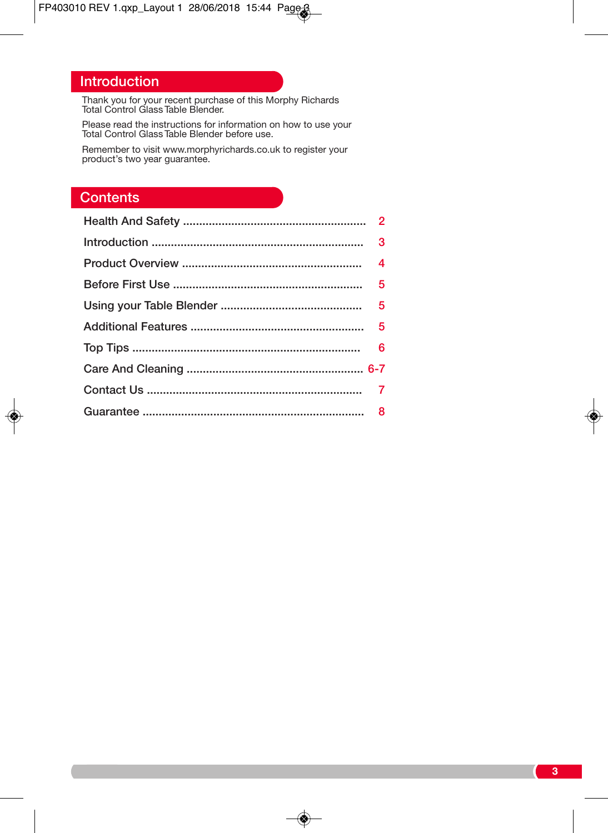## Introduction

Thank you for your recent purchase of this Morphy Richards Total Control Glass Table Blender.

Please read the instructions for information on how to use your Total Control Glass Table Blender before use.

Remember to visit www.morphyrichards.co.uk to register your product's two year guarantee.

## **Contents**

 $\color{red}\blacklozenge$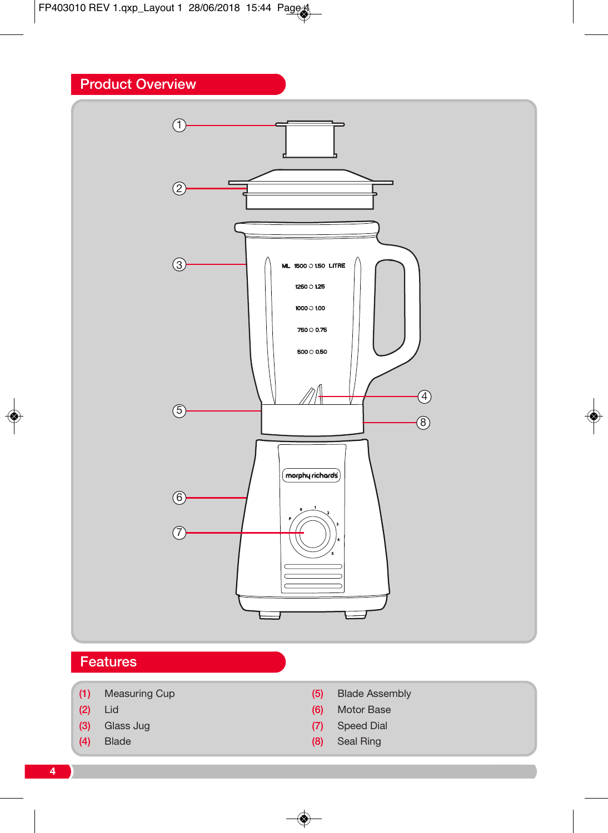## Product Overview



- (1) Measuring Cup
- (2) Lid
- (3) Glass Jug
- (4) Blade
- (5) Blade Assembly
- (6) Motor Base
- (7) Speed Dial
- (8) Seal Ring

◈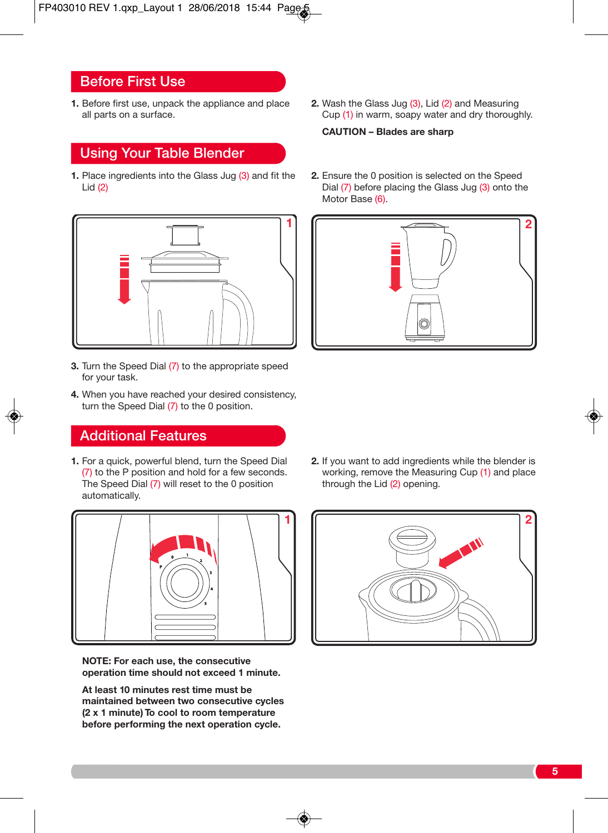## Before First Use

**1.** Before first use, unpack the appliance and place all parts on a surface.

## Using Your Table Blender

**1.** Place ingredients into the Glass Jug (3) and fit the Lid (2)



- **3.** Turn the Speed Dial (7) to the appropriate speed for your task.
- **4.** When you have reached your desired consistency, turn the Speed Dial (7) to the 0 position.

## Additional Features

**1.** For a quick, powerful blend, turn the Speed Dial (7) to the P position and hold for a few seconds. The Speed Dial (7) will reset to the 0 position automatically.



**NOTE: For each use, the consecutive operation time should not exceed 1 minute.**

**At least 10 minutes rest time must be maintained between two consecutive cycles (2 x 1 minute) To cool to room temperature before performing the next operation cycle.**

**2.** Wash the Glass Jug (3), Lid (2) and Measuring Cup (1) in warm, soapy water and dry thoroughly.

#### **CAUTION – Blades are sharp**

**2.** Ensure the 0 position is selected on the Speed Dial (7) before placing the Glass Jug (3) onto the Motor Base (6).



**2.** If you want to add ingredients while the blender is working, remove the Measuring Cup (1) and place through the Lid (2) opening.

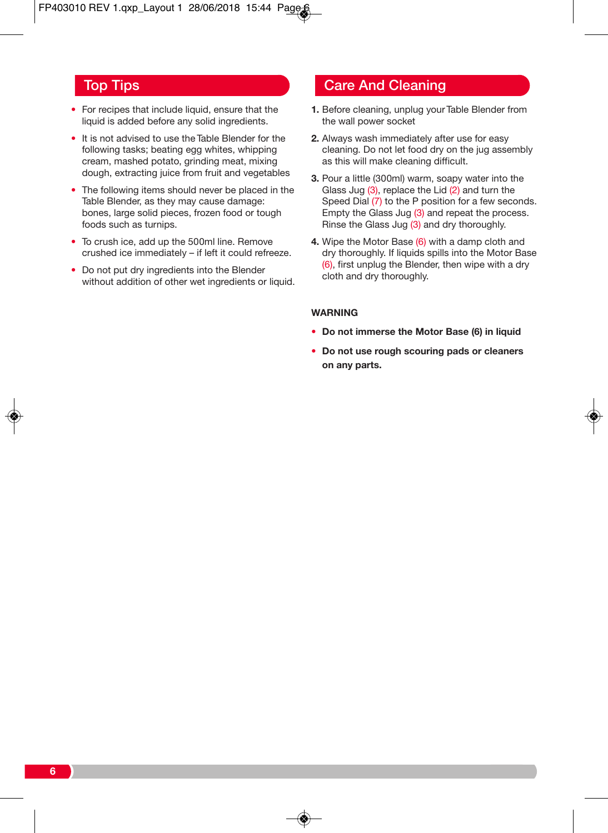- For recipes that include liquid, ensure that the liquid is added before any solid ingredients.
- It is not advised to use the Table Blender for the following tasks; beating egg whites, whipping cream, mashed potato, grinding meat, mixing dough, extracting juice from fruit and vegetables
- The following items should never be placed in the Table Blender, as they may cause damage: bones, large solid pieces, frozen food or tough foods such as turnips.
- To crush ice, add up the 500ml line. Remove crushed ice immediately – if left it could refreeze.
- Do not put dry ingredients into the Blender without addition of other wet ingredients or liquid.

## **Top Tips Care And Cleaning**

- **1.** Before cleaning, unplug your Table Blender from the wall power socket
- **2.** Always wash immediately after use for easy cleaning. Do not let food dry on the jug assembly as this will make cleaning difficult.
- **3.** Pour a little (300ml) warm, soapy water into the Glass Jug (3), replace the Lid (2) and turn the Speed Dial (7) to the P position for a few seconds. Empty the Glass Jug (3) and repeat the process. Rinse the Glass Jug (3) and dry thoroughly.
- **4.** Wipe the Motor Base (6) with a damp cloth and dry thoroughly. If liquids spills into the Motor Base (6), first unplug the Blender, then wipe with a dry cloth and dry thoroughly.

#### **WARNING**

- **Do not immerse the Motor Base (6) in liquid**
- **Do not use rough scouring pads or cleaners on any parts.**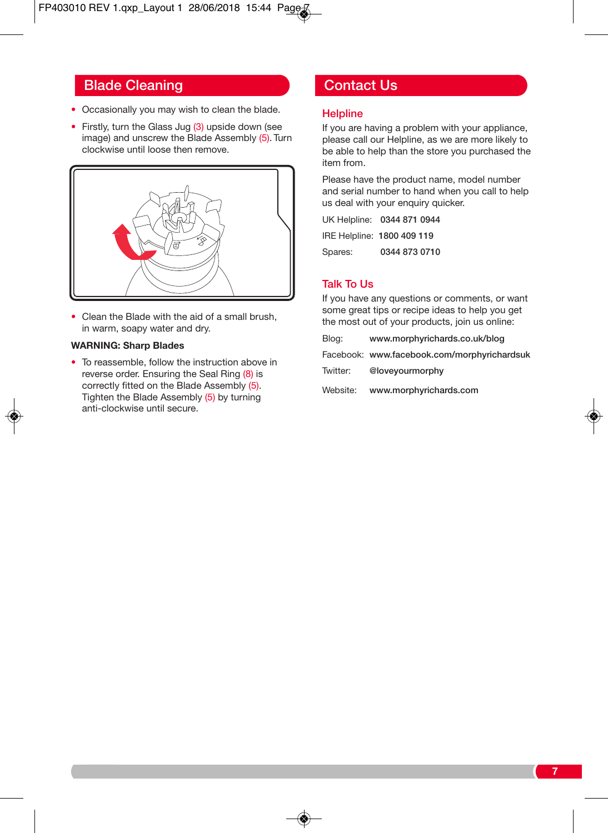## Blade Cleaning **Contact Us**

- Occasionally you may wish to clean the blade.
- Firstly, turn the Glass Jug (3) upside down (see image) and unscrew the Blade Assembly (5). Turn clockwise until loose then remove.



• Clean the Blade with the aid of a small brush, in warm, soapy water and dry.

#### **WARNING: Sharp Blades**

• To reassemble, follow the instruction above in reverse order. Ensuring the Seal Ring (8) is correctly fitted on the Blade Assembly (5). Tighten the Blade Assembly (5) by turning anti-clockwise until secure.

#### **Helpline**

If you are having a problem with your appliance, please call our Helpline, as we are more likely to be able to help than the store you purchased the item from.

Please have the product name, model number and serial number to hand when you call to help us deal with your enquiry quicker.

UK Helpline: 0344 871 0944 IRE Helpline: 1800 409 119 Spares: 0344 873 0710

### Talk To Us

If you have any questions or comments, or want some great tips or recipe ideas to help you get the most out of your products, join us online:

Blog: www.morphyrichards.co.uk/blog

Facebook: www.facebook.com/morphyrichardsuk

Twitter: @loveyourmorphy

Website: www.morphyrichards.com